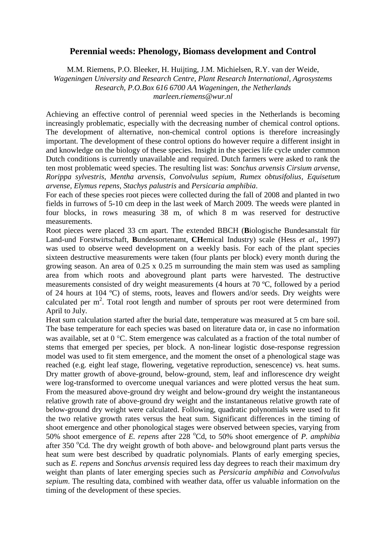## **Perennial weeds: Phenology, Biomass development and Control**

M.M. Riemens, P.O. Bleeker, H. Huijting, J.M. Michielsen, R.Y. van der Weide, *Wageningen University and Research Centre, Plant Research International, Agrosystems Research, P.O.Box 616 6700 AA Wageningen, the Netherlands marleen.riemens@wur.nl*

Achieving an effective control of perennial weed species in the Netherlands is becoming increasingly problematic, especially with the decreasing number of chemical control options. The development of alternative, non-chemical control options is therefore increasingly important. The development of these control options do however require a different insight in and knowledge on the biology of these species. Insight in the species life cycle under common Dutch conditions is currently unavailable and required. Dutch farmers were asked to rank the ten most problematic weed species. The resulting list was: *Sonchus arvensis Cirsium arvense, Rorippa sylvestris, Mentha arvensis, Convolvulus sepium, Rumex obtusifolius, Equisetum arvense, Elymus repens, Stachys palustris* and *Persicaria amphibia*.

For each of these species root pieces were collected during the fall of 2008 and planted in two fields in furrows of 5-10 cm deep in the last week of March 2009. The weeds were planted in four blocks, in rows measuring 38 m, of which 8 m was reserved for destructive measurements.

Root pieces were placed 33 cm apart. The extended BBCH (**B**iologische Bundesanstalt für Land-und Forstwirtschaft, **B**undessortenamt, **CH**emical Industry) scale (Hess *et al*., 1997) was used to observe weed development on a weekly basis. For each of the plant species sixteen destructive measurements were taken (four plants per block) every month during the growing season. An area of 0.25 x 0.25 m surrounding the main stem was used as sampling area from which roots and aboveground plant parts were harvested. The destructive measurements consisted of dry weight measurements (4 hours at 70 ºC, followed by a period of 24 hours at 104 ºC) of stems, roots, leaves and flowers and/or seeds. Dry weights were calculated per  $m^2$ . Total root length and number of sprouts per root were determined from April to July.

Heat sum calculation started after the burial date, temperature was measured at 5 cm bare soil. The base temperature for each species was based on literature data or, in case no information was available, set at  $0^{\circ}$ C. Stem emergence was calculated as a fraction of the total number of stems that emerged per species, per block. A non-linear logistic dose-response regression model was used to fit stem emergence, and the moment the onset of a phenological stage was reached (e.g. eight leaf stage, flowering, vegetative reproduction, senescence) vs. heat sums. Dry matter growth of above-ground, below-ground, stem, leaf and inflorescence dry weight were log-transformed to overcome unequal variances and were plotted versus the heat sum. From the measured above-ground dry weight and below-ground dry weight the instantaneous relative growth rate of above-ground dry weight and the instantaneous relative growth rate of below-ground dry weight were calculated. Following, quadratic polynomials were used to fit the two relative growth rates versus the heat sum. Significant differences in the timing of shoot emergence and other phonological stages were observed between species, varying from 50% shoot emergence of *E. repens* after 228 °Cd, to 50% shoot emergence of *P. amphibia* after 350  $\degree$ Cd. The dry weight growth of both above- and belowground plant parts versus the heat sum were best described by quadratic polynomials. Plants of early emerging species, such as *E. repens* and *Sonchus arvensis* required less day degrees to reach their maximum dry weight than plants of later emerging species such as *Persicaria amphibia* and *Convolvulus sepium*. The resulting data, combined with weather data, offer us valuable information on the timing of the development of these species.